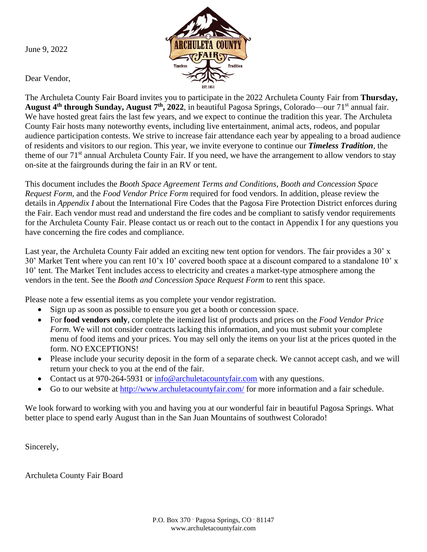June 9, 2022



Dear Vendor,

The Archuleta County Fair Board invites you to participate in the 2022 Archuleta County Fair from **Thursday, August 4 th through Sunday, August 7 th, 2022**, in beautiful Pagosa Springs, Colorado—our 71st annual fair. We have hosted great fairs the last few years, and we expect to continue the tradition this year. The Archuleta County Fair hosts many noteworthy events, including live entertainment, animal acts, rodeos, and popular audience participation contests. We strive to increase fair attendance each year by appealing to a broad audience of residents and visitors to our region. This year, we invite everyone to continue our *Timeless Tradition,* the theme of our 71<sup>st</sup> annual Archuleta County Fair. If you need, we have the arrangement to allow vendors to stay on-site at the fairgrounds during the fair in an RV or tent.

This document includes the *Booth Space Agreement Terms and Conditions*, *Booth and Concession Space Request Form,* and the *Food Vendor Price Form* required for food vendors. In addition, please review the details in *Appendix I* about the International Fire Codes that the Pagosa Fire Protection District enforces during the Fair. Each vendor must read and understand the fire codes and be compliant to satisfy vendor requirements for the Archuleta County Fair. Please contact us or reach out to the contact in Appendix I for any questions you have concerning the fire codes and compliance.

Last year, the Archuleta County Fair added an exciting new tent option for vendors. The fair provides a 30' x 30' Market Tent where you can rent 10'x 10' covered booth space at a discount compared to a standalone 10' x 10' tent. The Market Tent includes access to electricity and creates a market-type atmosphere among the vendors in the tent. See the *Booth and Concession Space Request Form* to rent this space.

Please note a few essential items as you complete your vendor registration.

- Sign up as soon as possible to ensure you get a booth or concession space.
- For **food vendors only**, complete the itemized list of products and prices on the *Food Vendor Price Form*. We will not consider contracts lacking this information, and you must submit your complete menu of food items and your prices. You may sell only the items on your list at the prices quoted in the form. NO EXCEPTIONS!
- Please include your security deposit in the form of a separate check. We cannot accept cash, and we will return your check to you at the end of the fair.
- Contact us at 970-264-5931 or [info@archuletacountyfair.com](mailto:info@archuletacountyfair.com) with any questions.
- Go to our website at<http://www.archuletacountyfair.com/> for more information and a fair schedule.

We look forward to working with you and having you at our wonderful fair in beautiful Pagosa Springs. What better place to spend early August than in the San Juan Mountains of southwest Colorado!

Sincerely,

Archuleta County Fair Board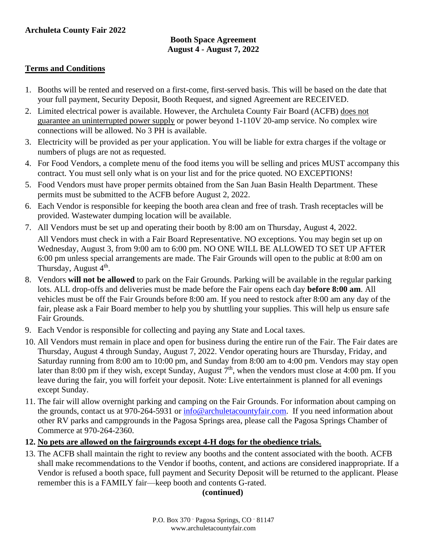#### **Booth Space Agreement August 4 - August 7, 2022**

#### **Terms and Conditions**

- 1. Booths will be rented and reserved on a first-come, first-served basis. This will be based on the date that your full payment, Security Deposit, Booth Request, and signed Agreement are RECEIVED.
- 2. Limited electrical power is available. However, the Archuleta County Fair Board (ACFB) does not guarantee an uninterrupted power supply or power beyond 1-110V 20-amp service. No complex wire connections will be allowed. No 3 PH is available.
- 3. Electricity will be provided as per your application. You will be liable for extra charges if the voltage or numbers of plugs are not as requested.
- 4. For Food Vendors, a complete menu of the food items you will be selling and prices MUST accompany this contract. You must sell only what is on your list and for the price quoted. NO EXCEPTIONS!
- 5. Food Vendors must have proper permits obtained from the San Juan Basin Health Department. These permits must be submitted to the ACFB before August 2, 2022.
- 6. Each Vendor is responsible for keeping the booth area clean and free of trash. Trash receptacles will be provided. Wastewater dumping location will be available.
- 7. All Vendors must be set up and operating their booth by 8:00 am on Thursday, August 4, 2022. All Vendors must check in with a Fair Board Representative. NO exceptions. You may begin set up on Wednesday, August 3, from 9:00 am to 6:00 pm. NO ONE WILL BE ALLOWED TO SET UP AFTER 6:00 pm unless special arrangements are made. The Fair Grounds will open to the public at 8:00 am on Thursday, August 4<sup>th</sup>.
- 8. Vendors **will not be allowed** to park on the Fair Grounds. Parking will be available in the regular parking lots. ALL drop-offs and deliveries must be made before the Fair opens each day **before 8:00 am**. All vehicles must be off the Fair Grounds before 8:00 am. If you need to restock after 8:00 am any day of the fair, please ask a Fair Board member to help you by shuttling your supplies. This will help us ensure safe Fair Grounds.
- 9. Each Vendor is responsible for collecting and paying any State and Local taxes.
- 10. All Vendors must remain in place and open for business during the entire run of the Fair. The Fair dates are Thursday, August 4 through Sunday, August 7, 2022. Vendor operating hours are Thursday, Friday, and Saturday running from 8:00 am to 10:00 pm, and Sunday from 8:00 am to 4:00 pm. Vendors may stay open later than 8:00 pm if they wish, except Sunday, August  $7<sup>th</sup>$ , when the vendors must close at 4:00 pm. If you leave during the fair, you will forfeit your deposit. Note: Live entertainment is planned for all evenings except Sunday.
- 11. The fair will allow overnight parking and camping on the Fair Grounds. For information about camping on the grounds, contact us at 970-264-5931 or [info@archuletacountyfair.com.](mailto:info@archuletacountyfair.com) If you need information about other RV parks and campgrounds in the Pagosa Springs area, please call the Pagosa Springs Chamber of Commerce at 970-264-2360.

#### **12. No pets are allowed on the fairgrounds except 4-H dogs for the obedience trials.**

13. The ACFB shall maintain the right to review any booths and the content associated with the booth. ACFB shall make recommendations to the Vendor if booths, content, and actions are considered inappropriate. If a Vendor is refused a booth space, full payment and Security Deposit will be returned to the applicant. Please remember this is a FAMILY fair—keep booth and contents G-rated.

#### **(continued)**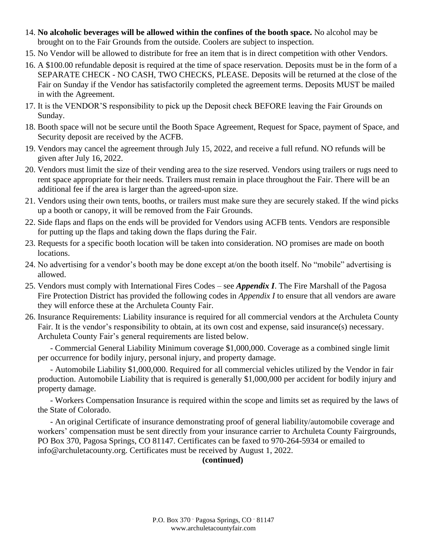- 14. **No alcoholic beverages will be allowed within the confines of the booth space.** No alcohol may be brought on to the Fair Grounds from the outside. Coolers are subject to inspection.
- 15. No Vendor will be allowed to distribute for free an item that is in direct competition with other Vendors.
- 16. A \$100.00 refundable deposit is required at the time of space reservation. Deposits must be in the form of a SEPARATE CHECK - NO CASH, TWO CHECKS, PLEASE. Deposits will be returned at the close of the Fair on Sunday if the Vendor has satisfactorily completed the agreement terms. Deposits MUST be mailed in with the Agreement.
- 17. It is the VENDOR'S responsibility to pick up the Deposit check BEFORE leaving the Fair Grounds on Sunday.
- 18. Booth space will not be secure until the Booth Space Agreement, Request for Space, payment of Space, and Security deposit are received by the ACFB.
- 19. Vendors may cancel the agreement through July 15, 2022, and receive a full refund. NO refunds will be given after July 16, 2022.
- 20. Vendors must limit the size of their vending area to the size reserved. Vendors using trailers or rugs need to rent space appropriate for their needs. Trailers must remain in place throughout the Fair. There will be an additional fee if the area is larger than the agreed-upon size.
- 21. Vendors using their own tents, booths, or trailers must make sure they are securely staked. If the wind picks up a booth or canopy, it will be removed from the Fair Grounds.
- 22. Side flaps and flaps on the ends will be provided for Vendors using ACFB tents. Vendors are responsible for putting up the flaps and taking down the flaps during the Fair.
- 23. Requests for a specific booth location will be taken into consideration. NO promises are made on booth locations.
- 24. No advertising for a vendor's booth may be done except at/on the booth itself. No "mobile" advertising is allowed.
- 25. Vendors must comply with International Fires Codes see *Appendix I*. The Fire Marshall of the Pagosa Fire Protection District has provided the following codes in *Appendix I* to ensure that all vendors are aware they will enforce these at the Archuleta County Fair.
- 26. Insurance Requirements: Liability insurance is required for all commercial vendors at the Archuleta County Fair. It is the vendor's responsibility to obtain, at its own cost and expense, said insurance(s) necessary. Archuleta County Fair's general requirements are listed below.

- Commercial General Liability Minimum coverage \$1,000,000. Coverage as a combined single limit per occurrence for bodily injury, personal injury, and property damage.

- Automobile Liability \$1,000,000. Required for all commercial vehicles utilized by the Vendor in fair production. Automobile Liability that is required is generally \$1,000,000 per accident for bodily injury and property damage.

- Workers Compensation Insurance is required within the scope and limits set as required by the laws of the State of Colorado.

- An original Certificate of insurance demonstrating proof of general liability/automobile coverage and workers' compensation must be sent directly from your insurance carrier to Archuleta County Fairgrounds, PO Box 370, Pagosa Springs, CO 81147. Certificates can be faxed to 970-264-5934 or emailed to info@archuletacounty.org. Certificates must be received by August 1, 2022.

### **(continued)**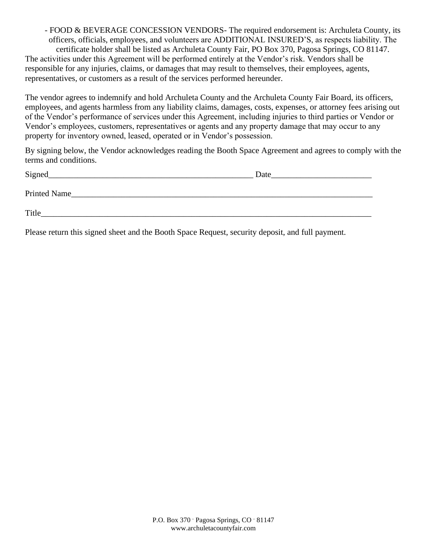- FOOD & BEVERAGE CONCESSION VENDORS- The required endorsement is: Archuleta County, its officers, officials, employees, and volunteers are ADDITIONAL INSURED'S, as respects liability. The certificate holder shall be listed as Archuleta County Fair, PO Box 370, Pagosa Springs, CO 81147. The activities under this Agreement will be performed entirely at the Vendor's risk. Vendors shall be responsible for any injuries, claims, or damages that may result to themselves, their employees, agents, representatives, or customers as a result of the services performed hereunder.

The vendor agrees to indemnify and hold Archuleta County and the Archuleta County Fair Board, its officers, employees, and agents harmless from any liability claims, damages, costs, expenses, or attorney fees arising out of the Vendor's performance of services under this Agreement, including injuries to third parties or Vendor or Vendor's employees, customers, representatives or agents and any property damage that may occur to any property for inventory owned, leased, operated or in Vendor's possession.

By signing below, the Vendor acknowledges reading the Booth Space Agreement and agrees to comply with the terms and conditions.

| Signed       | Date |
|--------------|------|
| Printed Name |      |
| Title        |      |

Please return this signed sheet and the Booth Space Request, security deposit, and full payment.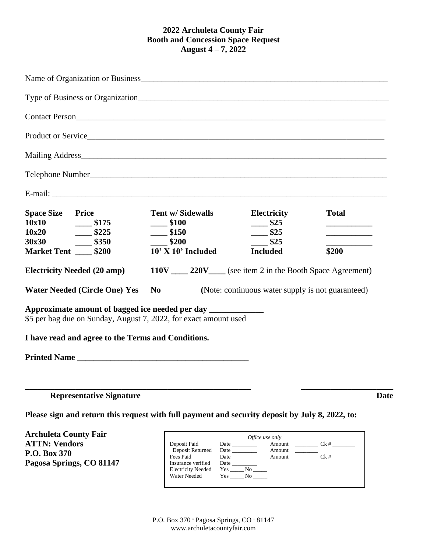#### **2022 Archuleta County Fair Booth and Concession Space Request August 4 – 7, 2022**

| <b>Space Size Price</b><br>10x10<br>\$175                                                                                                                                                                             | <b>Tent w/ Sidewalls</b><br>\$100             | <b>Electricity</b><br>$\frac{\ }{25}$                 | <b>Total</b>                                                                                                                                                                                                                                                                                                                                                                                                                                                                          |  |  |
|-----------------------------------------------------------------------------------------------------------------------------------------------------------------------------------------------------------------------|-----------------------------------------------|-------------------------------------------------------|---------------------------------------------------------------------------------------------------------------------------------------------------------------------------------------------------------------------------------------------------------------------------------------------------------------------------------------------------------------------------------------------------------------------------------------------------------------------------------------|--|--|
| $-$ \$225<br>10x20                                                                                                                                                                                                    | $-$ \$150                                     | \$25                                                  | and the control of the control of                                                                                                                                                                                                                                                                                                                                                                                                                                                     |  |  |
| 30x30<br>$-$ \$350                                                                                                                                                                                                    | \$200                                         | \$25                                                  |                                                                                                                                                                                                                                                                                                                                                                                                                                                                                       |  |  |
| Market Tent _____ \$200                                                                                                                                                                                               | 10' X 10' Included                            | <b>Included</b>                                       | \$200                                                                                                                                                                                                                                                                                                                                                                                                                                                                                 |  |  |
| 110V ______ 220V _____ (see item 2 in the Booth Space Agreement)<br><b>Electricity Needed (20 amp)</b><br><b>Water Needed (Circle One) Yes</b><br>(Note: continuous water supply is not guaranteed)<br>N <sub>0</sub> |                                               |                                                       |                                                                                                                                                                                                                                                                                                                                                                                                                                                                                       |  |  |
| Approximate amount of bagged ice needed per day ______________<br>\$5 per bag due on Sunday, August 7, 2022, for exact amount used                                                                                    |                                               |                                                       |                                                                                                                                                                                                                                                                                                                                                                                                                                                                                       |  |  |
| I have read and agree to the Terms and Conditions.                                                                                                                                                                    |                                               |                                                       |                                                                                                                                                                                                                                                                                                                                                                                                                                                                                       |  |  |
|                                                                                                                                                                                                                       |                                               |                                                       |                                                                                                                                                                                                                                                                                                                                                                                                                                                                                       |  |  |
| <b>Representative Signature</b>                                                                                                                                                                                       |                                               |                                                       | <b>Date</b>                                                                                                                                                                                                                                                                                                                                                                                                                                                                           |  |  |
| Please sign and return this request with full payment and security deposit by July 8, 2022, to:                                                                                                                       |                                               |                                                       |                                                                                                                                                                                                                                                                                                                                                                                                                                                                                       |  |  |
| <b>Archuleta County Fair</b><br><b>ATTN: Vendors</b><br>P.O. Box 370<br>Pagosa Springs, CO 81147                                                                                                                      | Deposit Paid<br>Deposit Returned<br>Fees Paid | Office use only<br>Amount<br>Amount<br>Amount $Ck \#$ | $Ck \#$<br>$\frac{1}{2} \left( \frac{1}{2} \right) \left( \frac{1}{2} \right) \left( \frac{1}{2} \right) \left( \frac{1}{2} \right) \left( \frac{1}{2} \right) \left( \frac{1}{2} \right) \left( \frac{1}{2} \right) \left( \frac{1}{2} \right) \left( \frac{1}{2} \right) \left( \frac{1}{2} \right) \left( \frac{1}{2} \right) \left( \frac{1}{2} \right) \left( \frac{1}{2} \right) \left( \frac{1}{2} \right) \left( \frac{1}{2} \right) \left( \frac{1}{2} \right) \left( \frac$ |  |  |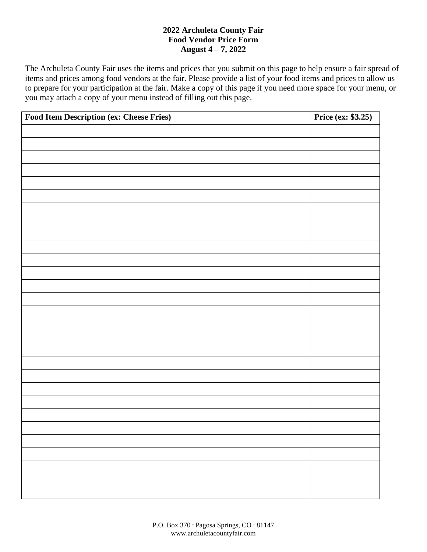### **2022 Archuleta County Fair Food Vendor Price Form August 4 – 7, 2022**

The Archuleta County Fair uses the items and prices that you submit on this page to help ensure a fair spread of items and prices among food vendors at the fair. Please provide a list of your food items and prices to allow us to prepare for your participation at the fair. Make a copy of this page if you need more space for your menu, or you may attach a copy of your menu instead of filling out this page.

| Food Item Description (ex: Cheese Fries) | <b>Price (ex: \$3.25)</b> |
|------------------------------------------|---------------------------|
|                                          |                           |
|                                          |                           |
|                                          |                           |
|                                          |                           |
|                                          |                           |
|                                          |                           |
|                                          |                           |
|                                          |                           |
|                                          |                           |
|                                          |                           |
|                                          |                           |
|                                          |                           |
|                                          |                           |
|                                          |                           |
|                                          |                           |
|                                          |                           |
|                                          |                           |
|                                          |                           |
|                                          |                           |
|                                          |                           |
|                                          |                           |
|                                          |                           |
|                                          |                           |
|                                          |                           |
|                                          |                           |
|                                          |                           |
|                                          |                           |
|                                          |                           |
|                                          |                           |